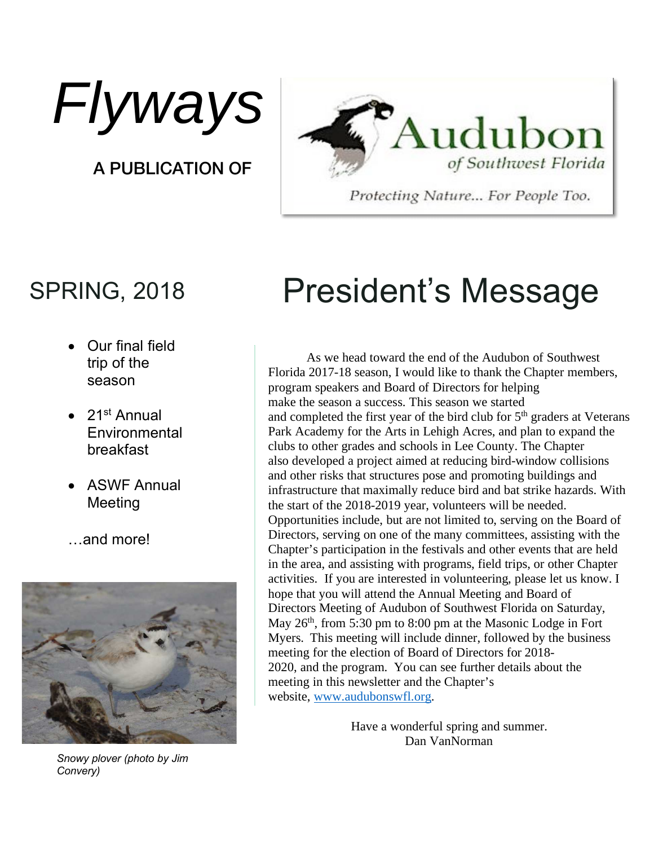Flyways

A PUBLICATION OF



Protecting Nature... For People Too.

- Our final field trip of the season
- $\bullet$  21st Annual **Environmental** breakfast
- ASWF Annual Meeting
- …and more!



*Snowy plover (photo by Jim Convery)*

## SPRING, 2018 President's Message

As we head toward the end of the Audubon of Southwest Florida 2017-18 season, I would like to thank the Chapter members, program speakers and Board of Directors for helping make the season a success. This season we started and completed the first year of the bird club for  $5<sup>th</sup>$  graders at Veterans Park Academy for the Arts in Lehigh Acres, and plan to expand the clubs to other grades and schools in Lee County. The Chapter also developed a project aimed at reducing bird-window collisions and other risks that structures pose and promoting buildings and infrastructure that maximally reduce bird and bat strike hazards. With the start of the 2018-2019 year, volunteers will be needed. Opportunities include, but are not limited to, serving on the Board of Directors, serving on one of the many committees, assisting with the Chapter's participation in the festivals and other events that are held in the area, and assisting with programs, field trips, or other Chapter activities. If you are interested in volunteering, please let us know. I hope that you will attend the Annual Meeting and Board of Directors Meeting of Audubon of Southwest Florida on Saturday, May  $26<sup>th</sup>$ , from 5:30 pm to 8:00 pm at the Masonic Lodge in Fort Myers. This meeting will include dinner, followed by the business meeting for the election of Board of Directors for 2018- 2020, and the program. You can see further details about the meeting in this newsletter and the Chapter's website, www.audubonswfl.org.

> Have a wonderful spring and summer. Dan VanNorman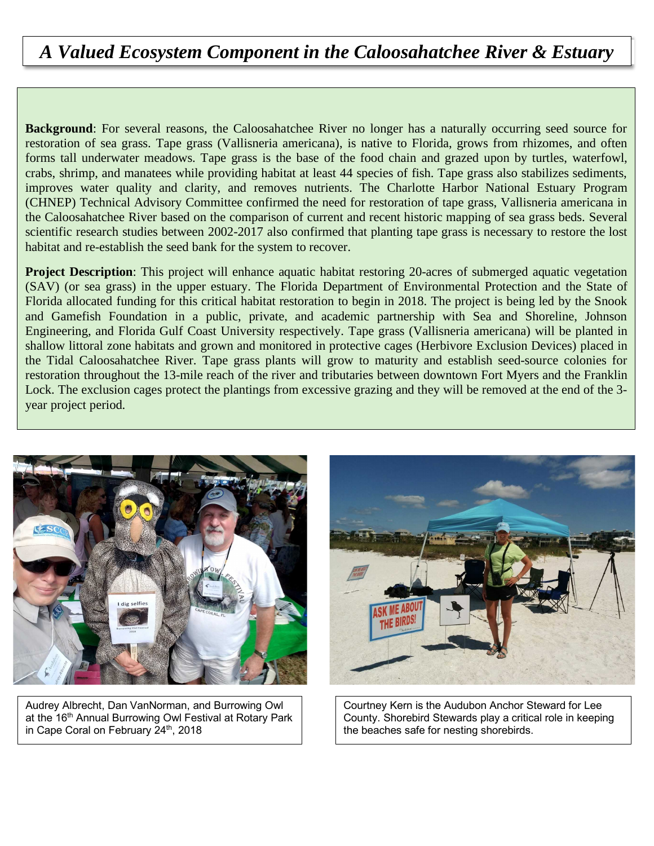### *A Valued Ecosystem Component in the Caloosahatchee River & Estuary*

**Background**: For several reasons, the Caloosahatchee River no longer has a naturally occurring seed source for restoration of sea grass. Tape grass (Vallisneria americana), is native to Florida, grows from rhizomes, and often forms tall underwater meadows. Tape grass is the base of the food chain and grazed upon by turtles, waterfowl, crabs, shrimp, and manatees while providing habitat at least 44 species of fish. Tape grass also stabilizes sediments, improves water quality and clarity, and removes nutrients. The Charlotte Harbor National Estuary Program (CHNEP) Technical Advisory Committee confirmed the need for restoration of tape grass, Vallisneria americana in the Caloosahatchee River based on the comparison of current and recent historic mapping of sea grass beds. Several scientific research studies between 2002-2017 also confirmed that planting tape grass is necessary to restore the lost habitat and re-establish the seed bank for the system to recover.

**Project Description**: This project will enhance aquatic habitat restoring 20-acres of submerged aquatic vegetation (SAV) (or sea grass) in the upper estuary. The Florida Department of Environmental Protection and the State of Florida allocated funding for this critical habitat restoration to begin in 2018. The project is being led by the Snook and Gamefish Foundation in a public, private, and academic partnership with Sea and Shoreline, Johnson Engineering, and Florida Gulf Coast University respectively. Tape grass (Vallisneria americana) will be planted in shallow littoral zone habitats and grown and monitored in protective cages (Herbivore Exclusion Devices) placed in the Tidal Caloosahatchee River. Tape grass plants will grow to maturity and establish seed-source colonies for restoration throughout the 13-mile reach of the river and tributaries between downtown Fort Myers and the Franklin Lock. The exclusion cages protect the plantings from excessive grazing and they will be removed at the end of the 3 year project period.



Audrey Albrecht, Dan VanNorman, and Burrowing Owl at the 16<sup>th</sup> Annual Burrowing Owl Festival at Rotary Park in Cape Coral on February 24<sup>th</sup>, 2018



Courtney Kern is the Audubon Anchor Steward for Lee County. Shorebird Stewards play a critical role in keeping the beaches safe for nesting shorebirds.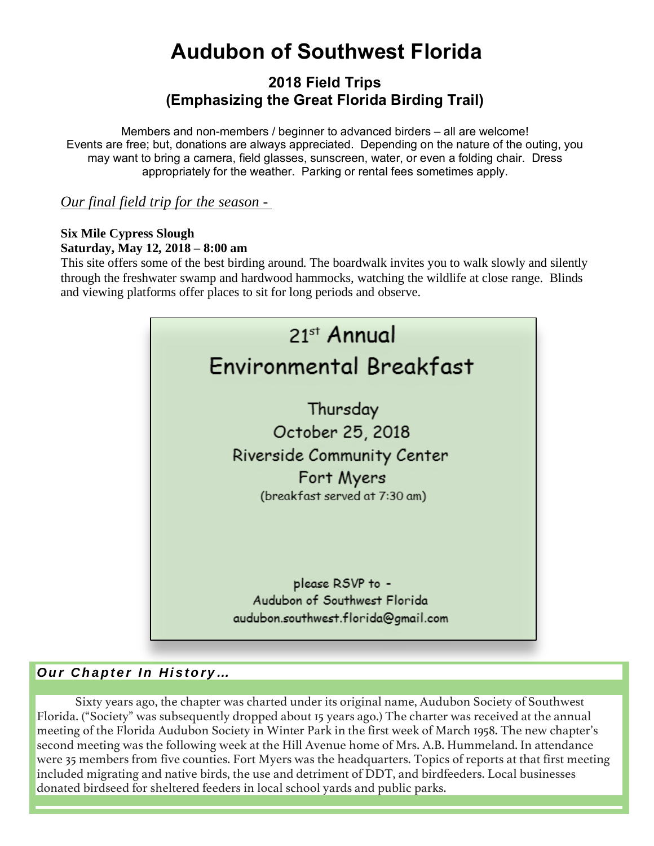## **Audubon of Southwest Florida**

#### **2018 Field Trips (Emphasizing the Great Florida Birding Trail)**

Members and non-members / beginner to advanced birders – all are welcome! Events are free; but, donations are always appreciated. Depending on the nature of the outing, you may want to bring a camera, field glasses, sunscreen, water, or even a folding chair. Dress appropriately for the weather. Parking or rental fees sometimes apply.

#### *Our final field trip for the season -*

#### **Six Mile Cypress Slough Saturday, May 12, 2018 – 8:00 am**

This site offers some of the best birding around. The boardwalk invites you to walk slowly and silently through the freshwater swamp and hardwood hammocks, watching the wildlife at close range. Blinds and viewing platforms offer places to sit for long periods and observe.



#### **Our Chapter In History…**

Sixty years ago, the chapter was charted under its original name, Audubon Society of Southwest Florida. ("Society" was subsequently dropped about 15 years ago.) The charter was received at the annual meeting of the Florida Audubon Society in Winter Park in the first week of March 1958. The new chapter's second meeting was the following week at the Hill Avenue home of Mrs. A.B. Hummeland. In attendance were 35 members from five counties. Fort Myers was the headquarters. Topics of reports at that first meeting included migrating and native birds, the use and detriment of DDT, and birdfeeders. Local businesses donated birdseed for sheltered feeders in local school yards and public parks.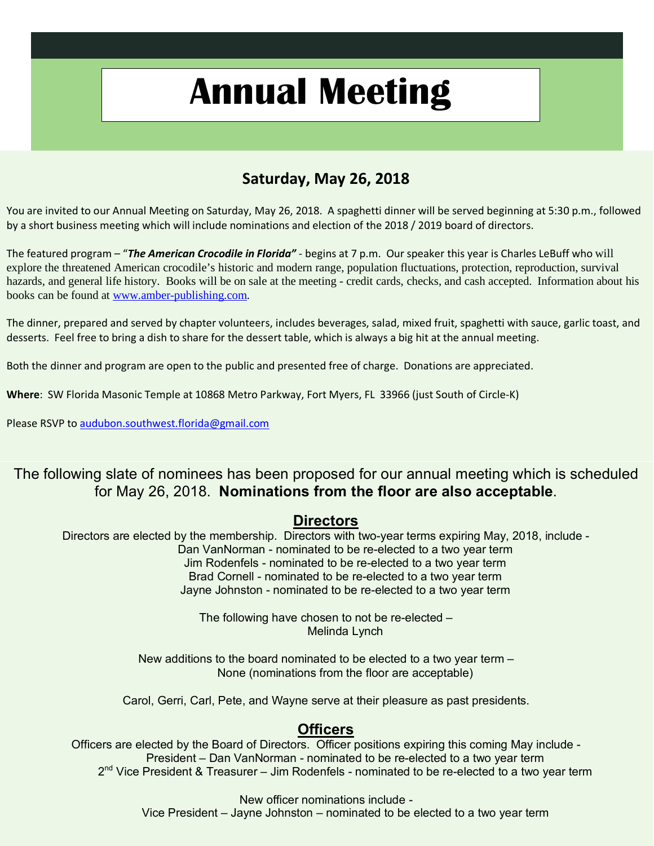## **Annual Meeting**

#### **Saturday, May 26, 2018**

You are invited to our Annual Meeting on Saturday, May 26, 2018. A spaghetti dinner will be served beginning at 5:30 p.m., followed by a short business meeting which will include nominations and election of the 2018 / 2019 board of directors.

The featured program – "*The American Crocodile in Florida"* - begins at 7 p.m. Our speaker this year is Charles LeBuff who will explore the threatened American crocodile's historic and modern range, population fluctuations, protection, reproduction, survival hazards, and general life history. Books will be on sale at the meeting - credit cards, checks, and cash accepted. Information about his books can be found at www.amber-publishing.com.

The dinner, prepared and served by chapter volunteers, includes beverages, salad, mixed fruit, spaghetti with sauce, garlic toast, and desserts. Feel free to bring a dish to share for the dessert table, which is always a big hit at the annual meeting.

Both the dinner and program are open to the public and presented free of charge. Donations are appreciated.

**Where**: SW Florida Masonic Temple at 10868 Metro Parkway, Fort Myers, FL 33966 (just South of Circle-K)

Please RSVP to audubon.southwest.florida@gmail.com

#### The following slate of nominees has been proposed for our annual meeting which is scheduled for May 26, 2018. **Nominations from the floor are also acceptable**.

#### **Directors**

Directors are elected by the membership. Directors with two-year terms expiring May, 2018, include - Dan VanNorman - nominated to be re-elected to a two year term Jim Rodenfels - nominated to be re-elected to a two year term Brad Cornell - nominated to be re-elected to a two year term Jayne Johnston - nominated to be re-elected to a two year term

> The following have chosen to not be re-elected – Melinda Lynch

New additions to the board nominated to be elected to a two year term – None (nominations from the floor are acceptable)

Carol, Gerri, Carl, Pete, and Wayne serve at their pleasure as past presidents.

#### **Officers**

Officers are elected by the Board of Directors. Officer positions expiring this coming May include - President – Dan VanNorman - nominated to be re-elected to a two year term  $2<sup>nd</sup>$  Vice President & Treasurer – Jim Rodenfels - nominated to be re-elected to a two year term

> New officer nominations include - Vice President – Jayne Johnston – nominated to be elected to a two year term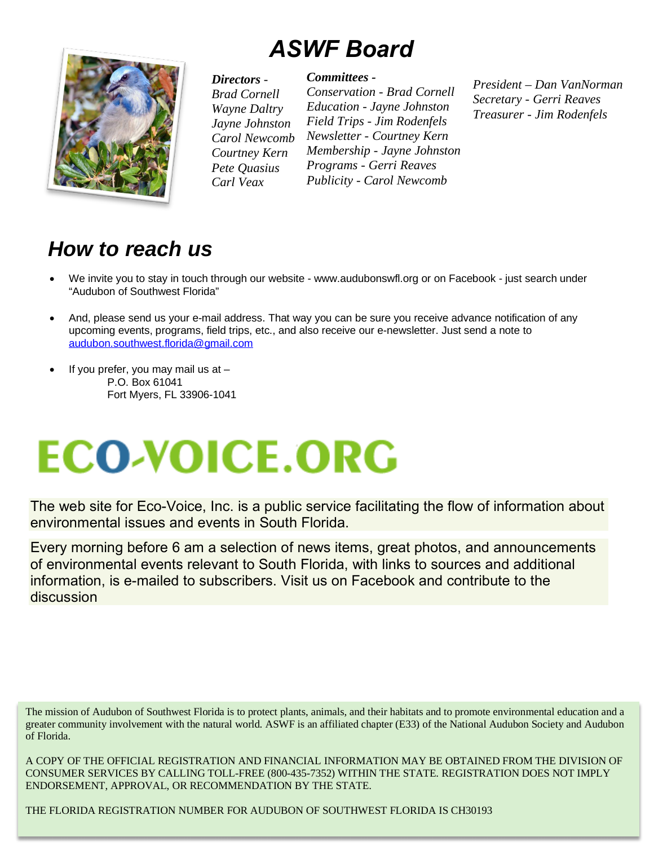## *ASWF Board*



#### *Directors -*

*Brad Cornell Wayne Daltry Jayne Johnston Carol Newcomb Courtney Kern Pete Quasius Carl Veax*

#### *Committees -*

*Conservation - Brad Cornell Education - Jayne Johnston Field Trips - Jim Rodenfels Newsletter - Courtney Kern Membership - Jayne Johnston Programs - Gerri Reaves Publicity - Carol Newcomb*

*President – Dan VanNorman Secretary - Gerri Reaves Treasurer - Jim Rodenfels*

### **How to reach us**

- We invite you to stay in touch through our website www.audubonswfl.org or on Facebook just search under "Audubon of Southwest Florida"
- And, please send us your e-mail address. That way you can be sure you receive advance notification of any upcoming events, programs, field trips, etc., and also receive our e-newsletter. Just send a note to audubon.southwest.florida@gmail.com
- If you prefer, you may mail us at  $-$ P.O. Box 61041 Fort Myers, FL 33906-1041

# **ECO-VOICE.ORG**

The web site for Eco-Voice, Inc. is a public service facilitating the flow of information about environmental issues and events in South Florida.

Every morning before 6 am a selection of news items, great photos, and announcements of environmental events relevant to South Florida, with links to sources and additional information, is e-mailed to subscribers. Visit us on Facebook and contribute to the discussion

A COPY OF THE OFFICIAL REGISTRATION AND FINANCIAL INFORMATION MAY BE OBTAINED FROM THE DIVISION OF CONSUMER SERVICES BY CALLING TOLL-FREE (800-435-7352) WITHIN THE STATE. REGISTRATION DOES NOT IMPLY ENDORSEMENT, APPROVAL, OR RECOMMENDATION BY THE STATE.

THE FLORIDA REGISTRATION NUMBER FOR AUDUBON OF SOUTHWEST FLORIDA IS CH30193

The mission of Audubon of Southwest Florida is to protect plants, animals, and their habitats and to promote environmental education and a greater community involvement with the natural world. ASWF is an affiliated chapter (E33) of the National Audubon Society and Audubon of Florida.